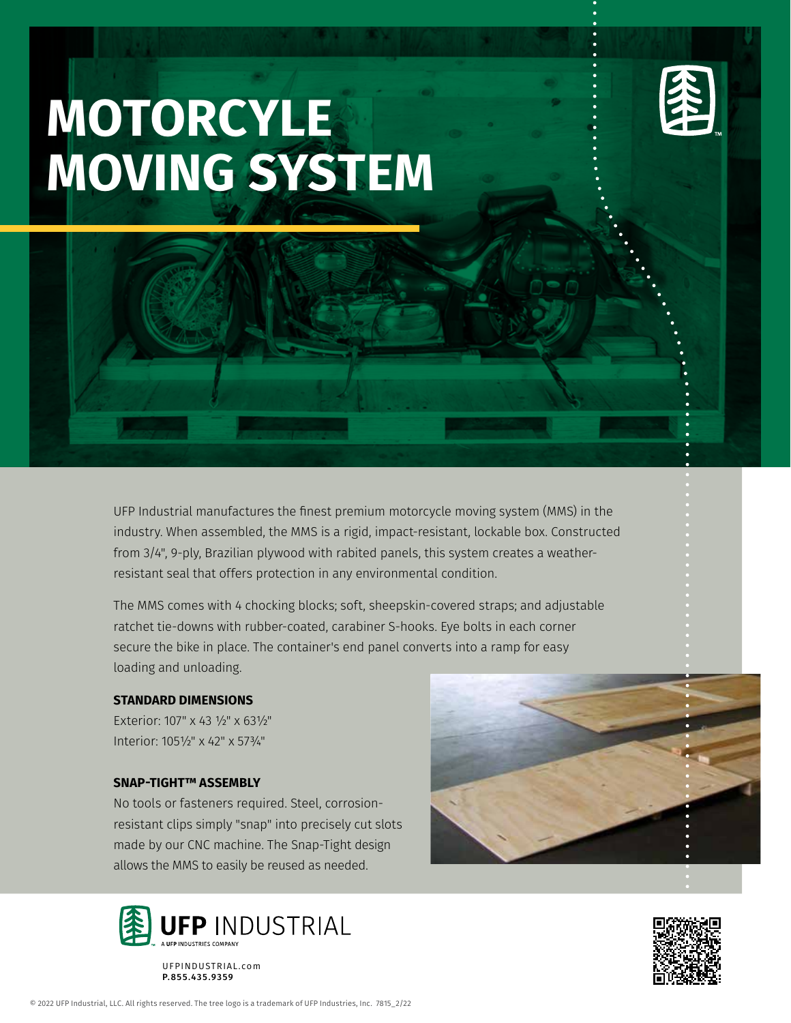## **MOTORCYLE MOVING SYSTEM**

UFP Industrial manufactures the finest premium motorcycle moving system (MMS) in the industry. When assembled, the MMS is a rigid, impact-resistant, lockable box. Constructed from 3/4", 9-ply, Brazilian plywood with rabited panels, this system creates a weatherresistant seal that offers protection in any environmental condition.

The MMS comes with 4 chocking blocks; soft, sheepskin-covered straps; and adjustable ratchet tie-downs with rubber-coated, carabiner S-hooks. Eye bolts in each corner secure the bike in place. The container's end panel converts into a ramp for easy loading and unloading.

## **STANDARD DIMENSIONS**

Exterior: 107" x 43 ½" x 63½" Interior: 105½" x 42" x 57¾"

## **SNAP-TIGHT™ ASSEMBLY**

No tools or fasteners required. Steel, corrosionresistant clips simply "snap" into precisely cut slots made by our CNC machine. The Snap-Tight design allows the MMS to easily be reused as needed.



UFPINDUSTRIAL.com P.855.435.9359